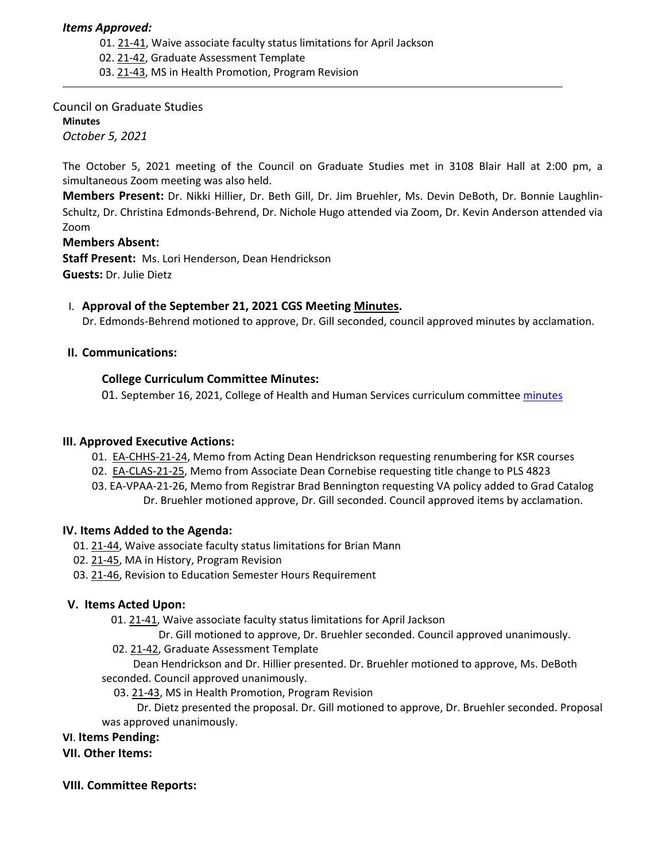## *Items Approved:*

- 01. [21](https://castle.eiu.edu/eiucgs/currentagendaitems/agenda21-41.pdf)‐41, Waive associate faculty status limitations for April Jackson
- 02. 21‐[42,](https://castle.eiu.edu/eiucgs/currentagendaitems/agenda21-42.pdf) Graduate Assessment Template
- 03. 21‐[43,](https://castle.eiu.edu/eiucgs/currentagendaitems/agenda21-43.pdf) MS in Health Promotion, Program Revision

## Council on Graduate Studies

**Minutes** *October 5, 2021*

The October 5, 2021 meeting of the Council on Graduate Studies met in 3108 Blair Hall at 2:00 pm, a simultaneous Zoom meeting was also held.

**Members Present:** Dr. Nikki Hillier, Dr. Beth Gill, Dr. Jim Bruehler, Ms. Devin DeBoth, Dr. Bonnie Laughlin‐ Schultz, Dr. Christina Edmonds‐Behrend, Dr. Nichole Hugo attended via Zoom, Dr. Kevin Anderson attended via Zoom

## **Members Absent:**

**Staff Present:** Ms. Lori Henderson, Dean Hendrickson **Guests:** Dr. Julie Dietz

## I. **Approval of the September 21, 2021 CGS Meeting [Minutes.](https://castle.eiu.edu/eiucgs/currentminutes/Minutes9-21-21.pdf)**

Dr. Edmonds‐Behrend motioned to approve, Dr. Gill seconded, council approved minutes by acclamation.

## **II. Communications:**

## **College Curriculum Committee Minutes:**

01. September 16, 2021, College of Health and Human Services curriculum committee [minutes](https://www.eiu.edu/chhs/chhs_curr_committee/2021-22_meetings/09-16-2021_meeting/09-16-21%20CHHSCC%20Minutes.pdf)

# **III. Approved Executive Actions:**

- 01. EA-[CHHS](https://castle.eiu.edu/eiucgs/exec-actions/EA-CHHS-21-24.pdf)-21-24, Memo from Acting Dean Hendrickson requesting renumbering for KSR courses
- 02. EA-[CLAS](https://castle.eiu.edu/eiucgs/exec-actions/EA-CLAS-21-25.pdf)-21-25, Memo from Associate Dean Cornebise requesting title change to PLS 4823
- 03. EA‐[VPAA](https://castle.eiu.edu/eiucgs/exec-actions/EA-VPAA-21-26.pdf)‐21‐26, Memo from Registrar Brad Bennington requesting VA policy added to Grad Catalog Dr. Bruehler motioned approve, Dr. Gill seconded. Council approved items by acclamation.

#### **IV. Items Added to the Agenda:**

- 01. 21‐[44,](https://castle.eiu.edu/eiucgs/currentagendaitems/agenda21-44.pdf) Waive associate faculty status limitations for Brian Mann
- 02. 21-[45,](https://castle.eiu.edu/eiucgs/currentagendaitems/agenda21-45.pdf) MA in History, Program Revision
- 03. 21‐[46,](https://castle.eiu.edu/eiucgs/currentagendaitems/agenda21-46.pdf) Revision to Education Semester Hours Requirement

# **V. Items Acted Upon:**

- 01. [21](https://castle.eiu.edu/eiucgs/currentagendaitems/agenda21-41.pdf)‐41, Waive associate faculty status limitations for April Jackson
	- Dr. Gill motioned to approve, Dr. Bruehler seconded. Council approved unanimously.
- 02. 21‐[42,](https://castle.eiu.edu/eiucgs/currentagendaitems/agenda21-42.pdf) Graduate Assessment Template

 Dean Hendrickson and Dr. Hillier presented. Dr. Bruehler motioned to approve, Ms. DeBoth seconded. Council approved unanimously.

03. 21-[43,](https://castle.eiu.edu/eiucgs/currentagendaitems/agenda21-43.pdf) MS in Health Promotion, Program Revision

 Dr. Dietz presented the proposal. Dr. Gill motioned to approve, Dr. Bruehler seconded. Proposal was approved unanimously.

#### **VI**. **Items Pending:**

# **VII. Other Items:**

#### **VIII. Committee Reports:**